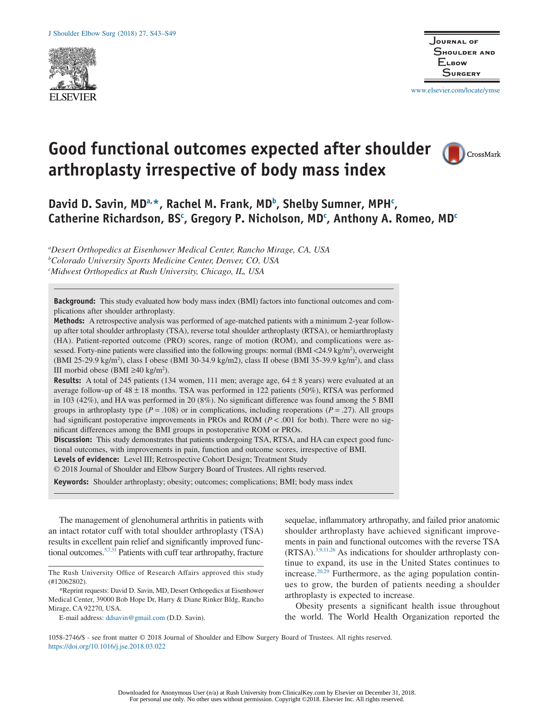

www.elsevier.com/locate/ymse

# **Good functional outcomes expected after shoulder arthroplasty irrespective of body mass index**



# David D. Savin, MD<sup>a,\*</sup>, Rachel M. Frank, MD<sup>b</sup>, Shelby Sumner, MPH<sup>c</sup>, Catherine Richardson, BS<sup>c</sup>, Gregory P. Nicholson, MD<sup>c</sup>, Anthony A. Romeo, MD<sup>c</sup>

*a Desert Orthopedics at Eisenhower Medical Center, Rancho Mirage, CA, USA b Colorado University Sports Medicine Center, Denver, CO, USA c Midwest Orthopedics at Rush University, Chicago, IL, USA*

**Background:** This study evaluated how body mass index (BMI) factors into functional outcomes and complications after shoulder arthroplasty.

**Methods:** A retrospective analysis was performed of age-matched patients with a minimum 2-year followup after total shoulder arthroplasty (TSA), reverse total shoulder arthroplasty (RTSA), or hemiarthroplasty (HA). Patient-reported outcome (PRO) scores, range of motion (ROM), and complications were assessed. Forty-nine patients were classified into the following groups: normal (BMI <24.9 kg/m<sup>2</sup>), overweight  $(BM1 25-29.9 kg/m<sup>2</sup>)$ , class I obese  $(BM1 30-34.9 kg/m2)$ , class II obese  $(BM1 35-39.9 kg/m<sup>2</sup>)$ , and class III morbid obese (BMI ≥40 kg/m<sup>2</sup>).

**Results:** A total of 245 patients (134 women, 111 men; average age,  $64 \pm 8$  years) were evaluated at an average follow-up of  $48 \pm 18$  months. TSA was performed in 122 patients (50%), RTSA was performed in 103 (42%), and HA was performed in 20 (8%). No significant difference was found among the 5 BMI groups in arthroplasty type ( $P = .108$ ) or in complications, including reoperations ( $P = .27$ ). All groups had significant postoperative improvements in PROs and ROM ( $P < .001$  for both). There were no significant differences among the BMI groups in postoperative ROM or PROs.

**Discussion:** This study demonstrates that patients undergoing TSA, RTSA, and HA can expect good functional outcomes, with improvements in pain, function and outcome scores, irrespective of BMI.

**Levels of evidence:** Level III; Retrospective Cohort Design; Treatment Study

© 2018 Journal of Shoulder and Elbow Surgery Board of Trustees. All rights reserved.

**Keywords:** Shoulder arthroplasty; obesity; outcomes; complications; BMI; body mass index

The management of glenohumeral arthritis in patients with an intact rotator cuff with total shoulder arthroplasty (TSA) results in excellent pain relief and significantly improved functional outcomes.<sup>5,7,31</sup> Patients with cuff tear arthropathy, fracture

The Rush University Office of Research Affairs approved this study (#12062802).

\*Reprint requests: David D. Savin, MD, Desert Orthopedics at Eisenhower Medical Center, 39000 Bob Hope Dr, Harry & Diane Rinker Bldg, Rancho Mirage, CA 92270, USA.

E-mail address: ddsavin@gmail.com (D.D. Savin).

sequelae, inflammatory arthropathy, and failed prior anatomic shoulder arthroplasty have achieved significant improvements in pain and functional outcomes with the reverse TSA (RTSA).3,9,11,26 As indications for shoulder arthroplasty continue to expand, its use in the United States continues to increase.<sup>20,29</sup> Furthermore, as the aging population continues to grow, the burden of patients needing a shoulder arthroplasty is expected to increase.

Obesity presents a significant health issue throughout the world. The World Health Organization reported the

1058-2746/\$ - see front matter © 2018 Journal of Shoulder and Elbow Surgery Board of Trustees. All rights reserved. https://doi.org/10.1016/j.jse.2018.03.022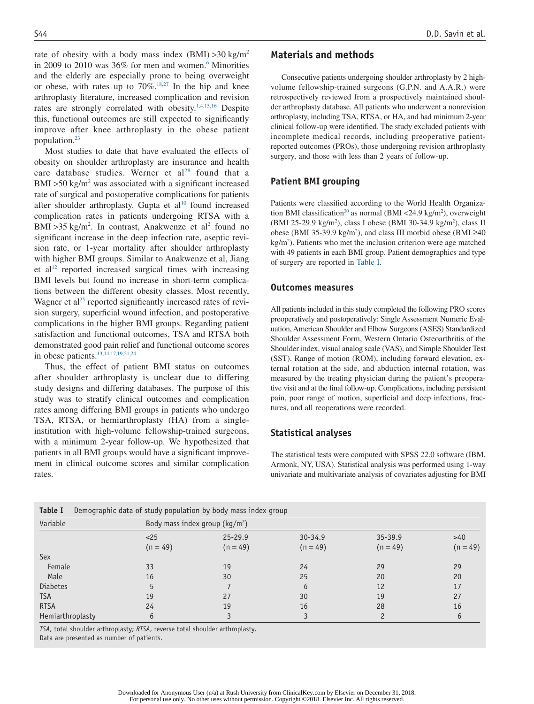rate of obesity with a body mass index  $(BMI) > 30$  kg/m<sup>2</sup> in 2009 to 2010 was  $36\%$  for men and women.<sup>6</sup> Minorities and the elderly are especially prone to being overweight or obese, with rates up to  $70\%$ <sup>18,27</sup> In the hip and knee arthroplasty literature, increased complication and revision rates are strongly correlated with obesity.<sup>1,4,15,16</sup> Despite this, functional outcomes are still expected to significantly improve after knee arthroplasty in the obese patient population.23

Most studies to date that have evaluated the effects of obesity on shoulder arthroplasty are insurance and health care database studies. Werner et  $al<sup>28</sup>$  found that a  $BMI > 50$  kg/m<sup>2</sup> was associated with a significant increased rate of surgical and postoperative complications for patients after shoulder arthroplasty. Gupta et al<sup>10</sup> found increased complication rates in patients undergoing RTSA with a  $BMI > 35$  kg/m<sup>2</sup>. In contrast, Anakwenze et al<sup>2</sup> found no significant increase in the deep infection rate, aseptic revision rate, or 1-year mortality after shoulder arthroplasty with higher BMI groups. Similar to Anakwenze et al, Jiang et al<sup>12</sup> reported increased surgical times with increasing BMI levels but found no increase in short-term complications between the different obesity classes. Most recently, Wagner et al<sup>25</sup> reported significantly increased rates of revision surgery, superficial wound infection, and postoperative complications in the higher BMI groups. Regarding patient satisfaction and functional outcomes, TSA and RTSA both demonstrated good pain relief and functional outcome scores in obese patients.13,14,17,19,21,24

Thus, the effect of patient BMI status on outcomes after shoulder arthroplasty is unclear due to differing study designs and differing databases. The purpose of this study was to stratify clinical outcomes and complication rates among differing BMI groups in patients who undergo TSA, RTSA, or hemiarthroplasty (HA) from a singleinstitution with high-volume fellowship-trained surgeons, with a minimum 2-year follow-up. We hypothesized that patients in all BMI groups would have a significant improvement in clinical outcome scores and similar complication rates.

# **Materials and methods**

Consecutive patients undergoing shoulder arthroplasty by 2 highvolume fellowship-trained surgeons (G.P.N. and A.A.R.) were retrospectively reviewed from a prospectively maintained shoulder arthroplasty database. All patients who underwent a nonrevision arthroplasty, including TSA, RTSA, or HA, and had minimum 2-year clinical follow-up were identified. The study excluded patients with incomplete medical records, including preoperative patientreported outcomes (PROs), those undergoing revision arthroplasty surgery, and those with less than 2 years of follow-up.

# **Patient BMI grouping**

Patients were classified according to the World Health Organization BMI classification<sup>30</sup> as normal (BMI <24.9 kg/m<sup>2</sup>), overweight  $(BMI 25-29.9 kg/m<sup>2</sup>)$ , class I obese  $(BMI 30-34.9 kg/m<sup>2</sup>)$ , class II obese (BMI 35-39.9 kg/m<sup>2</sup>), and class III morbid obese (BMI  $\geq 40$ kg/m<sup>2</sup>). Patients who met the inclusion criterion were age matched with 49 patients in each BMI group. Patient demographics and type of surgery are reported in Table I.

#### **Outcomes measures**

All patients included in this study completed the following PRO scores preoperatively and postoperatively: Single Assessment Numeric Evaluation, American Shoulder and Elbow Surgeons (ASES) Standardized Shoulder Assessment Form, Western Ontario Osteoarthritis of the Shoulder index, visual analog scale (VAS), and Simple Shoulder Test (SST). Range of motion (ROM), including forward elevation, external rotation at the side, and abduction internal rotation, was measured by the treating physician during the patient's preoperative visit and at the final follow-up. Complications, including persistent pain, poor range of motion, superficial and deep infections, fractures, and all reoperations were recorded.

#### **Statistical analyses**

The statistical tests were computed with SPSS 22.0 software (IBM, Armonk, NY, USA). Statistical analysis was performed using 1-way univariate and multivariate analysis of covariates adjusting for BMI

| Table I<br>Demographic data of study population by body mass index group |            |                                           |             |             |            |
|--------------------------------------------------------------------------|------------|-------------------------------------------|-------------|-------------|------------|
| Variable                                                                 |            | Body mass index group ( $\text{kg/m}^2$ ) |             |             |            |
|                                                                          | 25         | $25 - 29.9$                               | $30 - 34.9$ | $35 - 39.9$ | >40        |
|                                                                          | $(n = 49)$ | $(n = 49)$                                | $(n = 49)$  | $(n = 49)$  | $(n = 49)$ |
| Sex                                                                      |            |                                           |             |             |            |
| Female                                                                   | 33         | 19                                        | 24          | 29          | 29         |
| Male                                                                     | 16         | 30                                        | 25          | 20          | 20         |
| <b>Diabetes</b>                                                          |            |                                           | h           | 12          | 17         |
| <b>TSA</b>                                                               | 19         | 27                                        | 30          | 19          | 27         |
| <b>RTSA</b>                                                              | 24         | 19                                        | 16          | 28          | 16         |
| Hemiarthroplasty                                                         | 6          |                                           |             |             | 6          |

**Table I** Demographic data of study population by body mass index group

*TSA*, total shoulder arthroplasty; *RTSA*, reverse total shoulder arthroplasty. Data are presented as number of patients.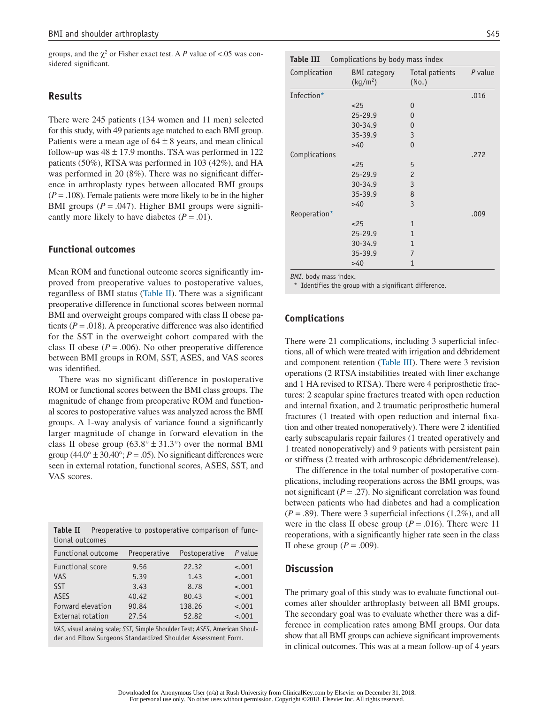groups, and the  $\chi^2$  or Fisher exact test. A P value of <.05 was considered significant.

# **Results**

There were 245 patients (134 women and 11 men) selected for this study, with 49 patients age matched to each BMI group. Patients were a mean age of  $64 \pm 8$  years, and mean clinical follow-up was  $48 \pm 17.9$  months. TSA was performed in 122 patients (50%), RTSA was performed in 103 (42%), and HA was performed in 20 (8%). There was no significant difference in arthroplasty types between allocated BMI groups  $(P = .108)$ . Female patients were more likely to be in the higher BMI groups  $(P = .047)$ . Higher BMI groups were significantly more likely to have diabetes  $(P = .01)$ .

#### **Functional outcomes**

Mean ROM and functional outcome scores significantly improved from preoperative values to postoperative values, regardless of BMI status (Table II). There was a significant preoperative difference in functional scores between normal BMI and overweight groups compared with class II obese patients  $(P = .018)$ . A preoperative difference was also identified for the SST in the overweight cohort compared with the class II obese ( $P = .006$ ). No other preoperative difference between BMI groups in ROM, SST, ASES, and VAS scores was identified.

There was no significant difference in postoperative ROM or functional scores between the BMI class groups. The magnitude of change from preoperative ROM and functional scores to postoperative values was analyzed across the BMI groups. A 1-way analysis of variance found a significantly larger magnitude of change in forward elevation in the class II obese group  $(63.8^{\circ} \pm 31.3^{\circ})$  over the normal BMI group  $(44.0^{\circ} \pm 30.40^{\circ})$ ; *P* = .05). No significant differences were seen in external rotation, functional scores, ASES, SST, and VAS scores.

|                 | <b>Table II</b> Preoperative to postoperative comparison of func- |  |  |
|-----------------|-------------------------------------------------------------------|--|--|
| tional outcomes |                                                                   |  |  |

| Functional outcome      | Preoperative | Postoperative | P value |
|-------------------------|--------------|---------------|---------|
| <b>Functional score</b> | 9.56         | 22.32         | $-.001$ |
| <b>VAS</b>              | 5.39         | 1.43          | $-.001$ |
| <b>SST</b>              | 3.43         | 8.78          | $-.001$ |
| <b>ASES</b>             | 40.42        | 80.43         | $-.001$ |
| Forward elevation       | 90.84        | 138.26        | $-.001$ |
| External rotation       | 27.54        | 52.82         | $-.001$ |
|                         |              |               |         |

*VAS*, visual analog scale; *SST*, Simple Shoulder Test; *ASES*, American Shoulder and Elbow Surgeons Standardized Shoulder Assessment Form.

| o<br>×<br>I<br>۰.<br>v. | ٧ | × |
|-------------------------|---|---|
|                         |   |   |

| Table III     | Complications by body mass index            |                         |           |
|---------------|---------------------------------------------|-------------------------|-----------|
| Complication  | <b>BMI</b> category<br>(kq/m <sup>2</sup> ) | Total patients<br>(No.) | $P$ value |
| Infection*    |                                             |                         | .016      |
|               | $<$ 25                                      | $\Omega$                |           |
|               | $25 - 29.9$                                 | $\Omega$                |           |
|               | 30-34.9                                     | $\mathbf 0$             |           |
|               | 35-39.9                                     | 3                       |           |
|               | >40                                         | $\Omega$                |           |
| Complications |                                             |                         | .272      |
|               | <25                                         | 5                       |           |
|               | $25 - 29.9$                                 | $\overline{c}$          |           |
|               | 30-34.9                                     | 3                       |           |
|               | 35-39.9                                     | 8                       |           |
|               | >40                                         | $\overline{3}$          |           |
| Reoperation*  |                                             |                         | .009      |
|               | <25                                         | $\mathbf{1}$            |           |
|               | 25-29.9                                     | $\mathbf{1}$            |           |
|               | $30 - 34.9$                                 | $\mathbf{1}$            |           |
|               | 35-39.9                                     | 7                       |           |
|               | >40                                         | $\mathbf{1}$            |           |

*BMI*, body mass index.

\* Identifies the group with a significant difference.

#### **Complications**

There were 21 complications, including 3 superficial infections, all of which were treated with irrigation and débridement and component retention (Table III). There were 3 revision operations (2 RTSA instabilities treated with liner exchange and 1 HA revised to RTSA). There were 4 periprosthetic fractures: 2 scapular spine fractures treated with open reduction and internal fixation, and 2 traumatic periprosthetic humeral fractures (1 treated with open reduction and internal fixation and other treated nonoperatively). There were 2 identified early subscapularis repair failures (1 treated operatively and 1 treated nonoperatively) and 9 patients with persistent pain or stiffness (2 treated with arthroscopic débridement/release).

The difference in the total number of postoperative complications, including reoperations across the BMI groups, was not significant  $(P = .27)$ . No significant correlation was found between patients who had diabetes and had a complication  $(P = .89)$ . There were 3 superficial infections  $(1.2\%)$ , and all were in the class II obese group ( $P = .016$ ). There were 11 reoperations, with a significantly higher rate seen in the class II obese group  $(P = .009)$ .

# **Discussion**

The primary goal of this study was to evaluate functional outcomes after shoulder arthroplasty between all BMI groups. The secondary goal was to evaluate whether there was a difference in complication rates among BMI groups. Our data show that all BMI groups can achieve significant improvements in clinical outcomes. This was at a mean follow-up of 4 years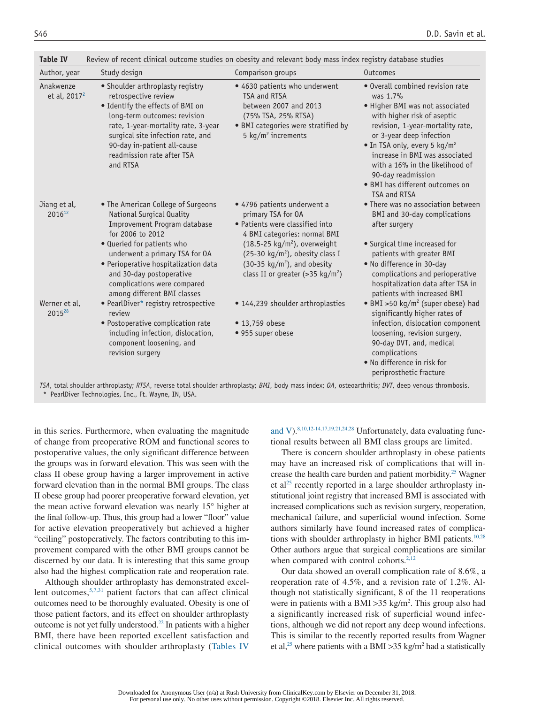| Author, year                          | Study design                                                                                                                                                                                                                                                                      | Comparison groups                                                                                                                                               | <b>Outcomes</b>                                                                                                                                                                                                                                                                                                                                                                 |
|---------------------------------------|-----------------------------------------------------------------------------------------------------------------------------------------------------------------------------------------------------------------------------------------------------------------------------------|-----------------------------------------------------------------------------------------------------------------------------------------------------------------|---------------------------------------------------------------------------------------------------------------------------------------------------------------------------------------------------------------------------------------------------------------------------------------------------------------------------------------------------------------------------------|
| Anakwenze<br>et al, 2017 <sup>2</sup> | • Shoulder arthroplasty registry<br>retrospective review<br>· Identify the effects of BMI on<br>long-term outcomes: revision<br>rate, 1-year-mortality rate, 3-year<br>surgical site infection rate, and<br>90-day in-patient all-cause<br>readmission rate after TSA<br>and RTSA | • 4630 patients who underwent<br>TSA and RTSA<br>between 2007 and 2013<br>(75% TSA, 25% RTSA)<br>• BMI categories were stratified by<br>5 $kg/m2$ increments    | • Overall combined revision rate<br>was 1.7%<br>• Higher BMI was not associated<br>with higher risk of aseptic<br>revision, 1-year-mortality rate,<br>or 3-year deep infection<br>• In TSA only, every 5 kg/m <sup>2</sup><br>increase in BMI was associated<br>with a 16% in the likelihood of<br>90-day readmission<br>• BMI has different outcomes on<br><b>TSA and RTSA</b> |
| Jiang et al,<br>201612                | • The American College of Surgeons<br>National Surgical Quality<br>Improvement Program database<br>for 2006 to 2012<br>• Queried for patients who                                                                                                                                 | • 4796 patients underwent a<br>primary TSA for OA<br>· Patients were classified into<br>4 BMI categories: normal BMI<br>$(18.5-25 \text{ kg/m}^2)$ , overweight | • There was no association between<br>BMI and 30-day complications<br>after surgery<br>• Surgical time increased for                                                                                                                                                                                                                                                            |
|                                       | underwent a primary TSA for OA<br>· Perioperative hospitalization data<br>and 30-day postoperative<br>complications were compared<br>among different BMI classes                                                                                                                  | (25-30 kg/m <sup>2</sup> ), obesity class I<br>(30-35 kg/m <sup>2</sup> ), and obesity<br>class II or greater (>35 kg/m <sup>2</sup> )                          | patients with greater BMI<br>. No difference in 30-day<br>complications and perioperative<br>hospitalization data after TSA in<br>patients with increased BMI                                                                                                                                                                                                                   |
| Werner et al,<br>201528               | • PearlDiver* registry retrospective<br>review                                                                                                                                                                                                                                    | • 144,239 shoulder arthroplasties                                                                                                                               | • BMI >50 kg/m <sup>2</sup> (super obese) had<br>significantly higher rates of                                                                                                                                                                                                                                                                                                  |
|                                       | • Postoperative complication rate<br>including infection, dislocation,<br>component loosening, and<br>revision surgery                                                                                                                                                            | • 13,759 obese<br>• 955 super obese                                                                                                                             | infection, dislocation component<br>loosening, revision surgery,<br>90-day DVT, and, medical<br>complications<br>. No difference in risk for<br>periprosthetic fracture                                                                                                                                                                                                         |

**Table IV** Review of recent clinical outcome studies on obesity and relevant body mass index registry database studies

*TSA*, total shoulder arthroplasty; *RTSA*, reverse total shoulder arthroplasty; *BMI*, body mass index; *OA*, osteoarthritis; *DVT*, deep venous thrombosis. \* PearlDiver Technologies, Inc., Ft. Wayne, IN, USA.

in this series. Furthermore, when evaluating the magnitude of change from preoperative ROM and functional scores to postoperative values, the only significant difference between the groups was in forward elevation. This was seen with the class II obese group having a larger improvement in active forward elevation than in the normal BMI groups. The class II obese group had poorer preoperative forward elevation, yet the mean active forward elevation was nearly 15° higher at the final follow-up. Thus, this group had a lower "floor" value for active elevation preoperatively but achieved a higher "ceiling" postoperatively. The factors contributing to this improvement compared with the other BMI groups cannot be discerned by our data. It is interesting that this same group also had the highest complication rate and reoperation rate.

Although shoulder arthroplasty has demonstrated excellent outcomes,<sup>5,7,31</sup> patient factors that can affect clinical outcomes need to be thoroughly evaluated. Obesity is one of those patient factors, and its effect on shoulder arthroplasty outcome is not yet fully understood.22 In patients with a higher BMI, there have been reported excellent satisfaction and clinical outcomes with shoulder arthroplasty (Tables IV and V).<sup>8,10,12-14,17,19,21,24,28</sup> Unfortunately, data evaluating functional results between all BMI class groups are limited.

There is concern shoulder arthroplasty in obese patients may have an increased risk of complications that will increase the health care burden and patient morbidity.<sup>25</sup> Wagner et al<sup>25</sup> recently reported in a large shoulder arthroplasty institutional joint registry that increased BMI is associated with increased complications such as revision surgery, reoperation, mechanical failure, and superficial wound infection. Some authors similarly have found increased rates of complications with shoulder arthroplasty in higher BMI patients.<sup>10,28</sup> Other authors argue that surgical complications are similar when compared with control cohorts. $2,12$ 

Our data showed an overall complication rate of 8.6%, a reoperation rate of 4.5%, and a revision rate of 1.2%. Although not statistically significant, 8 of the 11 reoperations were in patients with a BMI > 35 kg/m<sup>2</sup>. This group also had a significantly increased risk of superficial wound infections, although we did not report any deep wound infections. This is similar to the recently reported results from Wagner et al,<sup>25</sup> where patients with a BMI > 35 kg/m<sup>2</sup> had a statistically

For personal use only. No other uses without permission. Copyright ©2018. Elsevier Inc. All rights reserved.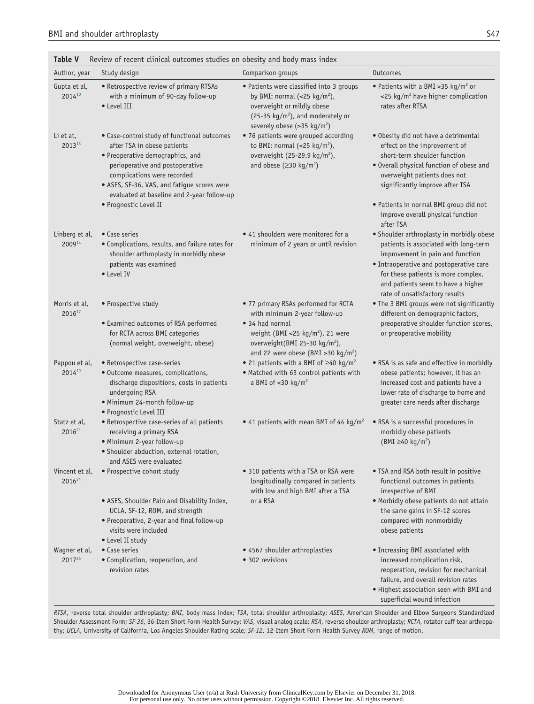**Table V** Review of recent clinical outcomes studies on obesity and body mass index

| Author, year                         | Study design                                                                                                                                                                                                                                                                                           | Comparison groups                                                                                                                                                                                                      | Outcomes                                                                                                                                                                                                                                                                                           |
|--------------------------------------|--------------------------------------------------------------------------------------------------------------------------------------------------------------------------------------------------------------------------------------------------------------------------------------------------------|------------------------------------------------------------------------------------------------------------------------------------------------------------------------------------------------------------------------|----------------------------------------------------------------------------------------------------------------------------------------------------------------------------------------------------------------------------------------------------------------------------------------------------|
| Gupta et al,<br>201410               | • Retrospective review of primary RTSAs<br>with a minimum of 90-day follow-up<br>• Level III                                                                                                                                                                                                           | · Patients were classified into 3 groups<br>by BMI: normal $\left($ <25 kg/m <sup>2</sup> ),<br>overweight or mildly obese<br>(25-35 kg/m <sup>2</sup> ), and moderately or<br>severely obese (>35 kg/m <sup>2</sup> ) | • Patients with a BMI > 35 kg/m <sup>2</sup> or<br>$<$ 25 kg/m <sup>2</sup> have higher complication<br>rates after RTSA                                                                                                                                                                           |
| Li et at,<br>201313                  | • Case-control study of functional outcomes<br>after TSA in obese patients<br>• Preoperative demographics, and<br>perioperative and postoperative<br>complications were recorded<br>• ASES, SF-36, VAS, and fatigue scores were<br>evaluated at baseline and 2-year follow-up<br>• Prognostic Level II | • 76 patients were grouped according<br>to BMI: normal $\left($ < 25 kg/m <sup>2</sup> ),<br>overweight (25-29.9 kg/m <sup>2</sup> ),<br>and obese ( $\geq$ 30 kg/m <sup>2</sup> )                                     | • Obesity did not have a detrimental<br>effect on the improvement of<br>short-term shoulder function<br>. Overall physical function of obese and<br>overweight patients does not<br>significantly improve after TSA<br>· Patients in normal BMI group did not<br>improve overall physical function |
|                                      |                                                                                                                                                                                                                                                                                                        |                                                                                                                                                                                                                        | after TSA                                                                                                                                                                                                                                                                                          |
| Linberg et al,<br>200914             | • Case series<br>• Complications, results, and failure rates for<br>shoulder arthroplasty in morbidly obese<br>patients was examined<br>• Level IV                                                                                                                                                     | • 41 shoulders were monitored for a<br>minimum of 2 years or until revision                                                                                                                                            | • Shoulder arthroplasty in morbidly obese<br>patients is associated with long-term<br>improvement in pain and function<br>• Intraoperative and postoperative care<br>for these patients is more complex,<br>and patients seem to have a higher<br>rate of unsatisfactory results                   |
| Morris et al,<br>$2016^{17}$         | • Prospective study                                                                                                                                                                                                                                                                                    | • 77 primary RSAs performed for RCTA<br>with minimum 2-year follow-up                                                                                                                                                  | • The 3 BMI groups were not significantly<br>different on demographic factors,                                                                                                                                                                                                                     |
|                                      | • Examined outcomes of RSA performed<br>for RCTA across BMI categories<br>(normal weight, overweight, obese)                                                                                                                                                                                           | • 34 had normal<br>weight (BMI <25 kg/m <sup>2</sup> ), 21 were<br>overweight(BMI 25-30 kg/m <sup>2</sup> ),<br>and 22 were obese (BMI > 30 kg/m <sup>2</sup> )                                                        | preoperative shoulder function scores,<br>or preoperative mobility                                                                                                                                                                                                                                 |
| Pappou et al,<br>201419              | · Retrospective case-series<br>· Outcome measures, complications,<br>discharge dispositions, costs in patients<br>undergoing RSA<br>· Minimum 24-month follow-up<br>· Prognostic Level III                                                                                                             | • 21 patients with a BMI of $\geq$ 40 kg/m <sup>2</sup><br>• Matched with 63 control patients with<br>a BMI of $<$ 30 kg/m <sup>2</sup>                                                                                | • RSA is as safe and effective in morbidly<br>obese patients; however, it has an<br>increased cost and patients have a<br>lower rate of discharge to home and<br>greater care needs after discharge                                                                                                |
| Statz et al,<br>$2016^{21}$          | • Retrospective case-series of all patients<br>receiving a primary RSA<br>· Minimum 2-year follow-up<br>· Shoulder abduction, external rotation,<br>and ASES were evaluated                                                                                                                            | • 41 patients with mean BMI of 44 kg/m <sup>2</sup>                                                                                                                                                                    | • RSA is a successful procedures in<br>morbidly obese patients<br>$(BMI \geq 40 \text{ kg/m}^2)$                                                                                                                                                                                                   |
| Vincent et al,<br>2016 <sup>24</sup> | • Prospective cohort study                                                                                                                                                                                                                                                                             | • 310 patients with a TSA or RSA were<br>longitudinally compared in patients<br>with low and high BMI after a TSA                                                                                                      | • TSA and RSA both result in positive<br>functional outcomes in patients<br>irrespective of BMI                                                                                                                                                                                                    |
|                                      | • ASES, Shoulder Pain and Disability Index,<br>UCLA, SF-12, ROM, and strength<br>• Preoperative, 2-year and final follow-up<br>visits were included<br>• Level II study                                                                                                                                | or a RSA                                                                                                                                                                                                               | · Morbidly obese patients do not attain<br>the same gains in SF-12 scores<br>compared with nonmorbidly<br>obese patients                                                                                                                                                                           |
| Wagner et al,<br>201725              | • Case series<br>• Complication, reoperation, and<br>revision rates                                                                                                                                                                                                                                    | • 4567 shoulder arthroplasties<br>• 302 revisions                                                                                                                                                                      | • Increasing BMI associated with<br>increased complication risk,<br>reoperation, revision for mechanical<br>failure, and overall revision rates<br>. Highest association seen with BMI and<br>superficial wound infection                                                                          |

*RTSA*, reverse total shoulder arthroplasty; *BMI*, body mass index; *TSA*, total shoulder arthroplasty; *ASES*, American Shoulder and Elbow Surgeons Standardized Shoulder Assessment Form; *SF-36*, 36-Item Short Form Health Survey; *VAS*, visual analog scale; *RSA*, reverse shoulder arthroplasty; *RCTA*, rotator cuff tear arthropathy; *UCLA*, University of California, Los Angeles Shoulder Rating scale; *SF-12*, 12-Item Short Form Health Survey *ROM*, range of motion.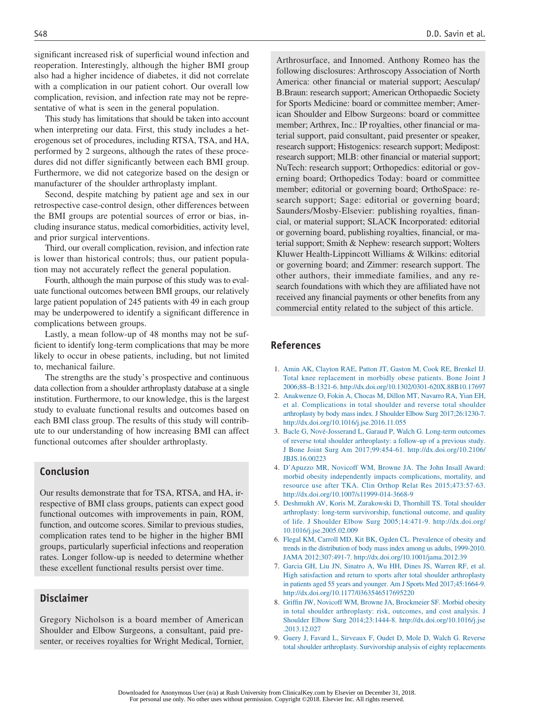significant increased risk of superficial wound infection and reoperation. Interestingly, although the higher BMI group also had a higher incidence of diabetes, it did not correlate with a complication in our patient cohort. Our overall low complication, revision, and infection rate may not be representative of what is seen in the general population.

This study has limitations that should be taken into account when interpreting our data. First, this study includes a heterogenous set of procedures, including RTSA, TSA, and HA, performed by 2 surgeons, although the rates of these procedures did not differ significantly between each BMI group. Furthermore, we did not categorize based on the design or manufacturer of the shoulder arthroplasty implant.

Second, despite matching by patient age and sex in our retrospective case-control design, other differences between the BMI groups are potential sources of error or bias, including insurance status, medical comorbidities, activity level, and prior surgical interventions.

Third, our overall complication, revision, and infection rate is lower than historical controls; thus, our patient population may not accurately reflect the general population.

Fourth, although the main purpose of this study was to evaluate functional outcomes between BMI groups, our relatively large patient population of 245 patients with 49 in each group may be underpowered to identify a significant difference in complications between groups.

Lastly, a mean follow-up of 48 months may not be sufficient to identify long-term complications that may be more likely to occur in obese patients, including, but not limited to, mechanical failure.

The strengths are the study's prospective and continuous data collection from a shoulder arthroplasty database at a single institution. Furthermore, to our knowledge, this is the largest study to evaluate functional results and outcomes based on each BMI class group. The results of this study will contribute to our understanding of how increasing BMI can affect functional outcomes after shoulder arthroplasty.

# **Conclusion**

Our results demonstrate that for TSA, RTSA, and HA, irrespective of BMI class groups, patients can expect good functional outcomes with improvements in pain, ROM, function, and outcome scores. Similar to previous studies, complication rates tend to be higher in the higher BMI groups, particularly superficial infections and reoperation rates. Longer follow-up is needed to determine whether these excellent functional results persist over time.

#### **Disclaimer**

Gregory Nicholson is a board member of American Shoulder and Elbow Surgeons, a consultant, paid presenter, or receives royalties for Wright Medical, Tornier, Arthrosurface, and Innomed. Anthony Romeo has the following disclosures: Arthroscopy Association of North America: other financial or material support; Aesculap/ B.Braun: research support; American Orthopaedic Society for Sports Medicine: board or committee member; American Shoulder and Elbow Surgeons: board or committee member; Arthrex, Inc.: IP royalties, other financial or material support, paid consultant, paid presenter or speaker, research support; Histogenics: research support; Medipost: research support; MLB: other financial or material support; NuTech: research support; Orthopedics: editorial or governing board; Orthopedics Today: board or committee member; editorial or governing board; OrthoSpace: research support; Sage: editorial or governing board; Saunders/Mosby-Elsevier: publishing royalties, financial, or material support; SLACK Incorporated: editorial or governing board, publishing royalties, financial, or material support; Smith & Nephew: research support; Wolters Kluwer Health-Lippincott Williams & Wilkins: editorial or governing board; and Zimmer: research support. The other authors, their immediate families, and any research foundations with which they are affiliated have not received any financial payments or other benefits from any commercial entity related to the subject of this article.

# **References**

- 1. Amin AK, Clayton RAE, Patton JT, Gaston M, Cook RE, Brenkel IJ. Total knee replacement in morbidly obese patients. Bone Joint J 2006;88–B:1321-6. http://dx.doi.org/10.1302/0301-620X.88B10.17697
- 2. Anakwenze O, Fokin A, Chocas M, Dillon MT, Navarro RA, Yian EH, et al. Complications in total shoulder and reverse total shoulder arthroplasty by body mass index. J Shoulder Elbow Surg 2017;26:1230-7. http://dx.doi.org/10.1016/j.jse.2016.11.055
- 3. Bacle G, Nové-Josserand L, Garaud P, Walch G. Long-term outcomes of reverse total shoulder arthroplasty: a follow-up of a previous study. J Bone Joint Surg Am 2017;99:454-61. http://dx.doi.org/10.2106/ JBJS.16.00223
- 4. D'Apuzzo MR, Novicoff WM, Browne JA. The John Insall Award: morbid obesity independently impacts complications, mortality, and resource use after TKA. Clin Orthop Relat Res 2015;473:57-63. http://dx.doi.org/10.1007/s11999-014-3668-9
- 5. Deshmukh AV, Koris M, Zurakowski D, Thornhill TS. Total shoulder arthroplasty: long-term survivorship, functional outcome, and quality of life. J Shoulder Elbow Surg 2005;14:471-9. http://dx.doi.org/ 10.1016/j.jse.2005.02.009
- 6. Flegal KM, Carroll MD, Kit BK, Ogden CL. Prevalence of obesity and trends in the distribution of body mass index among us adults, 1999-2010. JAMA 2012;307:491-7. http://dx.doi.org/10.1001/jama.2012.39
- 7. Garcia GH, Liu JN, Sinatro A, Wu HH, Dines JS, Warren RF, et al. High satisfaction and return to sports after total shoulder arthroplasty in patients aged 55 years and younger. Am J Sports Med 2017;45:1664-9. http://dx.doi.org/10.1177/0363546517695220
- 8. Griffin JW, Novicoff WM, Browne JA, Brockmeier SF. Morbid obesity in total shoulder arthroplasty: risk, outcomes, and cost analysis. J Shoulder Elbow Surg 2014;23:1444-8. http://dx.doi.org/10.1016/j.jse .2013.12.027
- 9. Guery J, Favard L, Sirveaux F, Oudet D, Mole D, Walch G. Reverse total shoulder arthroplasty. Survivorship analysis of eighty replacements